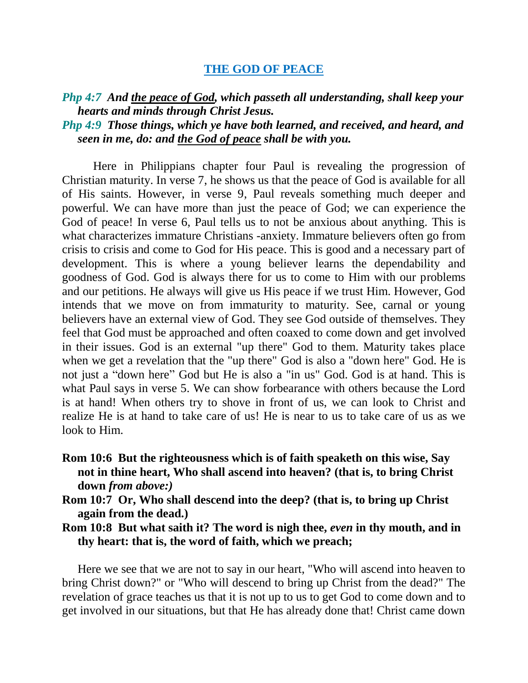## **THE GOD OF PEACE**

## *Php 4:7 And the peace of God, which passeth all understanding, shall keep your hearts and minds through Christ Jesus. Php 4:9 Those things, which ye have both learned, and received, and heard, and seen in me, do: and the God of peace shall be with you.*

Here in Philippians chapter four Paul is revealing the progression of Christian maturity. In verse 7, he shows us that the peace of God is available for all of His saints. However, in verse 9, Paul reveals something much deeper and powerful. We can have more than just the peace of God; we can experience the God of peace! In verse 6, Paul tells us to not be anxious about anything. This is what characterizes immature Christians -anxiety. Immature believers often go from crisis to crisis and come to God for His peace. This is good and a necessary part of development. This is where a young believer learns the dependability and goodness of God. God is always there for us to come to Him with our problems and our petitions. He always will give us His peace if we trust Him. However, God intends that we move on from immaturity to maturity. See, carnal or young believers have an external view of God. They see God outside of themselves. They feel that God must be approached and often coaxed to come down and get involved in their issues. God is an external "up there" God to them. Maturity takes place when we get a revelation that the "up there" God is also a "down here" God. He is not just a "down here" God but He is also a "in us" God. God is at hand. This is what Paul says in verse 5. We can show forbearance with others because the Lord is at hand! When others try to shove in front of us, we can look to Christ and realize He is at hand to take care of us! He is near to us to take care of us as we look to Him.

- **Rom 10:6 But the righteousness which is of faith speaketh on this wise, Say not in thine heart, Who shall ascend into heaven? (that is, to bring Christ down** *from above:)*
- **Rom 10:7 Or, Who shall descend into the deep? (that is, to bring up Christ again from the dead.)**
- **Rom 10:8 But what saith it? The word is nigh thee,** *even* **in thy mouth, and in thy heart: that is, the word of faith, which we preach;**

Here we see that we are not to say in our heart, "Who will ascend into heaven to bring Christ down?" or "Who will descend to bring up Christ from the dead?" The revelation of grace teaches us that it is not up to us to get God to come down and to get involved in our situations, but that He has already done that! Christ came down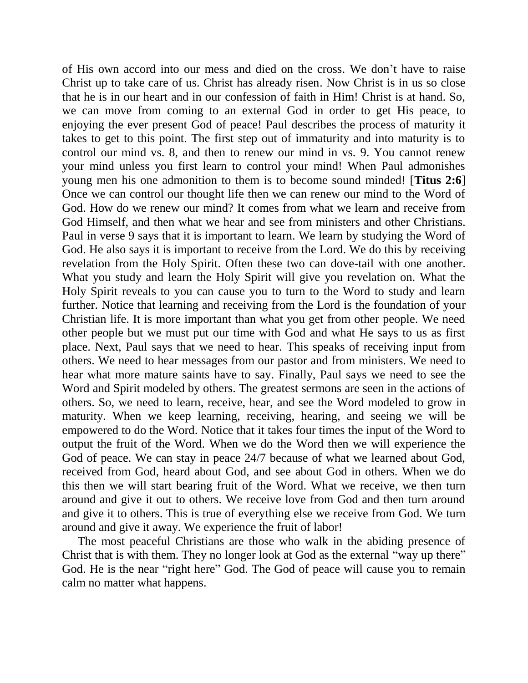of His own accord into our mess and died on the cross. We don't have to raise Christ up to take care of us. Christ has already risen. Now Christ is in us so close that he is in our heart and in our confession of faith in Him! Christ is at hand. So, we can move from coming to an external God in order to get His peace, to enjoying the ever present God of peace! Paul describes the process of maturity it takes to get to this point. The first step out of immaturity and into maturity is to control our mind vs. 8, and then to renew our mind in vs. 9. You cannot renew your mind unless you first learn to control your mind! When Paul admonishes young men his one admonition to them is to become sound minded! [**Titus 2:6**] Once we can control our thought life then we can renew our mind to the Word of God. How do we renew our mind? It comes from what we learn and receive from God Himself, and then what we hear and see from ministers and other Christians. Paul in verse 9 says that it is important to learn. We learn by studying the Word of God. He also says it is important to receive from the Lord. We do this by receiving revelation from the Holy Spirit. Often these two can dove-tail with one another. What you study and learn the Holy Spirit will give you revelation on. What the Holy Spirit reveals to you can cause you to turn to the Word to study and learn further. Notice that learning and receiving from the Lord is the foundation of your Christian life. It is more important than what you get from other people. We need other people but we must put our time with God and what He says to us as first place. Next, Paul says that we need to hear. This speaks of receiving input from others. We need to hear messages from our pastor and from ministers. We need to hear what more mature saints have to say. Finally, Paul says we need to see the Word and Spirit modeled by others. The greatest sermons are seen in the actions of others. So, we need to learn, receive, hear, and see the Word modeled to grow in maturity. When we keep learning, receiving, hearing, and seeing we will be empowered to do the Word. Notice that it takes four times the input of the Word to output the fruit of the Word. When we do the Word then we will experience the God of peace. We can stay in peace 24/7 because of what we learned about God, received from God, heard about God, and see about God in others. When we do this then we will start bearing fruit of the Word. What we receive, we then turn around and give it out to others. We receive love from God and then turn around and give it to others. This is true of everything else we receive from God. We turn around and give it away. We experience the fruit of labor!

The most peaceful Christians are those who walk in the abiding presence of Christ that is with them. They no longer look at God as the external "way up there" God. He is the near "right here" God. The God of peace will cause you to remain calm no matter what happens.